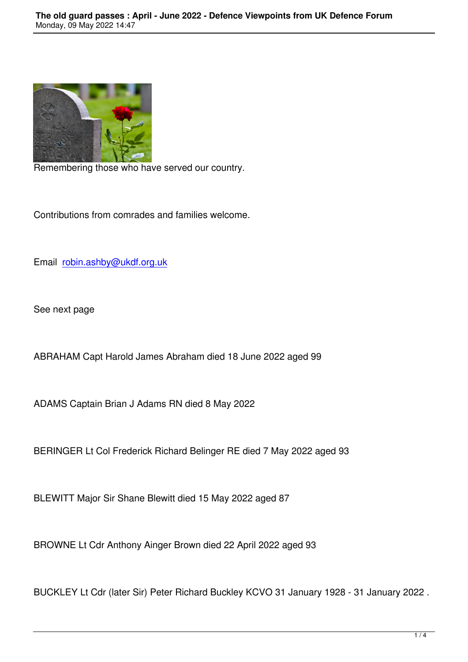

Remembering those who have served our country.

Contributions from comrades and families welcome.

Email robin.ashby@ukdf.org.uk

See n[ext page](mailto:robin.ashby@ukdf.org.uk)

ABRAHAM Capt Harold James Abraham died 18 June 2022 aged 99

ADAMS Captain Brian J Adams RN died 8 May 2022

BERINGER Lt Col Frederick Richard Belinger RE died 7 May 2022 aged 93

BLEWITT Major Sir Shane Blewitt died 15 May 2022 aged 87

BROWNE Lt Cdr Anthony Ainger Brown died 22 April 2022 aged 93

BUCKLEY Lt Cdr (later Sir) Peter Richard Buckley KCVO 31 January 1928 - 31 January 2022 .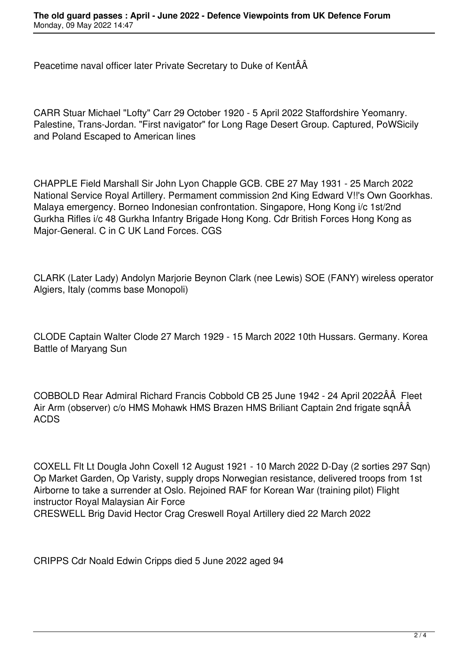Peacetime naval officer later Private Secretary to Duke of KentÂÂ

CARR Stuar Michael "Lofty" Carr 29 October 1920 - 5 April 2022 Staffordshire Yeomanry. Palestine, Trans-Jordan. "First navigator" for Long Rage Desert Group. Captured, PoWSicily and Poland Escaped to American lines

CHAPPLE Field Marshall Sir John Lyon Chapple GCB. CBE 27 May 1931 - 25 March 2022 National Service Royal Artillery. Permament commission 2nd King Edward V!!'s Own Goorkhas. Malaya emergency. Borneo Indonesian confrontation. Singapore, Hong Kong i/c 1st/2nd Gurkha Rifles i/c 48 Gurkha Infantry Brigade Hong Kong. Cdr British Forces Hong Kong as Major-General. C in C UK Land Forces. CGS

CLARK (Later Lady) Andolyn Marjorie Beynon Clark (nee Lewis) SOE (FANY) wireless operator Algiers, Italy (comms base Monopoli)

CLODE Captain Walter Clode 27 March 1929 - 15 March 2022 10th Hussars. Germany. Korea Battle of Maryang Sun

COBBOLD Rear Admiral Richard Francis Cobbold CB 25 June 1942 - 24 April 2022ÂÂ Fleet Air Arm (observer) c/o HMS Mohawk HMS Brazen HMS Briliant Captain 2nd frigate sqnÂÂ ACDS

COXELL Flt Lt Dougla John Coxell 12 August 1921 - 10 March 2022 D-Day (2 sorties 297 Sqn) Op Market Garden, Op Varisty, supply drops Norwegian resistance, delivered troops from 1st Airborne to take a surrender at Oslo. Rejoined RAF for Korean War (training pilot) Flight instructor Royal Malaysian Air Force CRESWELL Brig David Hector Crag Creswell Royal Artillery died 22 March 2022

CRIPPS Cdr Noald Edwin Cripps died 5 June 2022 aged 94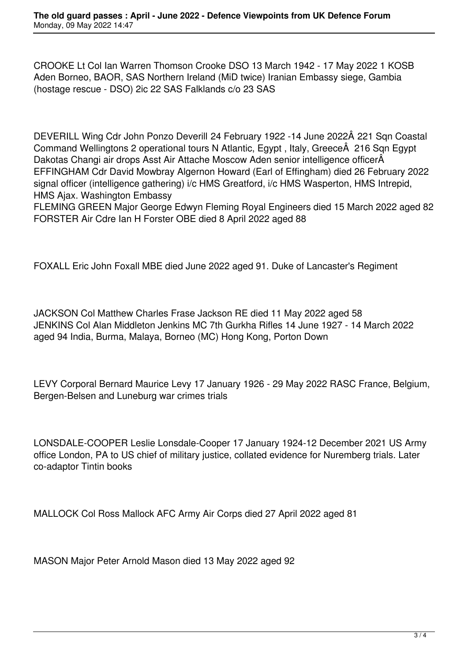CROOKE Lt Col Ian Warren Thomson Crooke DSO 13 March 1942 - 17 May 2022 1 KOSB Aden Borneo, BAOR, SAS Northern Ireland (MiD twice) Iranian Embassy siege, Gambia (hostage rescue - DSO) 2ic 22 SAS Falklands c/o 23 SAS

DEVERILL Wing Cdr John Ponzo Deverill 24 February 1922 -14 June 2022Â 221 Sqn Coastal Command Wellingtons 2 operational tours N Atlantic, Egypt, Italy, Greece 216 Sqn Egypt Dakotas Changi air drops Asst Air Attache Moscow Aden senior intelligence officer EFFINGHAM Cdr David Mowbray Algernon Howard (Earl of Effingham) died 26 February 2022 signal officer (intelligence gathering) i/c HMS Greatford, i/c HMS Wasperton, HMS Intrepid, HMS Ajax. Washington Embassy

FLEMING GREEN Major George Edwyn Fleming Royal Engineers died 15 March 2022 aged 82 FORSTER Air Cdre Ian H Forster OBE died 8 April 2022 aged 88

FOXALL Eric John Foxall MBE died June 2022 aged 91. Duke of Lancaster's Regiment

JACKSON Col Matthew Charles Frase Jackson RE died 11 May 2022 aged 58 JENKINS Col Alan Middleton Jenkins MC 7th Gurkha Rifles 14 June 1927 - 14 March 2022 aged 94 India, Burma, Malaya, Borneo (MC) Hong Kong, Porton Down

LEVY Corporal Bernard Maurice Levy 17 January 1926 - 29 May 2022 RASC France, Belgium, Bergen-Belsen and Luneburg war crimes trials

LONSDALE-COOPER Leslie Lonsdale-Cooper 17 January 1924-12 December 2021 US Army office London, PA to US chief of military justice, collated evidence for Nuremberg trials. Later co-adaptor Tintin books

MALLOCK Col Ross Mallock AFC Army Air Corps died 27 April 2022 aged 81

MASON Major Peter Arnold Mason died 13 May 2022 aged 92